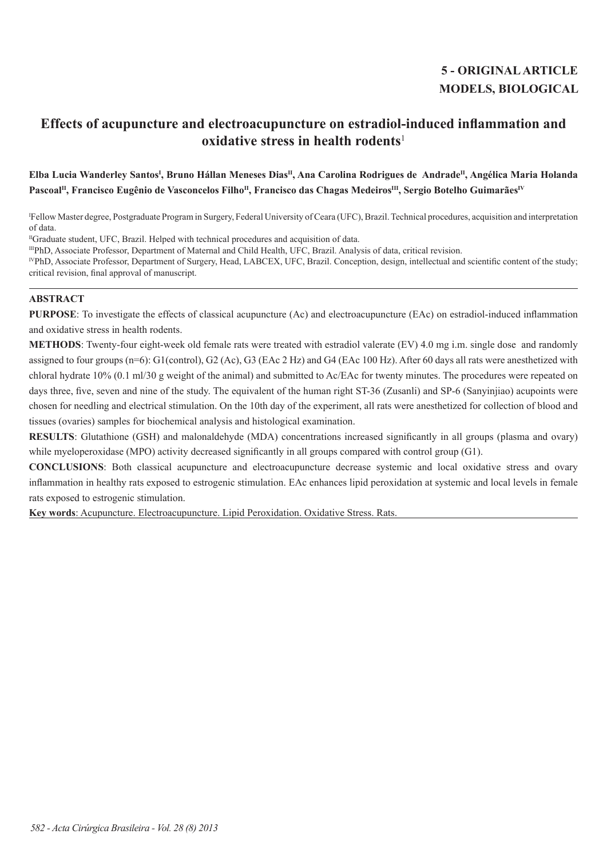# **5 - ORIGINAL ARTICLE MODELS, BIOLOGICAL**

# **Effects of acupuncture and electroacupuncture on estradiol-induced inflammation and oxidative stress in health rodents**<sup>1</sup>

# Elba Lucia Wanderley Santos<sup>ı</sup>, Bruno Hállan Meneses Dias<sup>ır</sup>, Ana Carolina Rodrigues de Andrade<sup>n</sup>, Angélica Maria Holanda Pascoal<sup>II</sup>, Francisco Eugênio de Vasconcelos Filho<sup>II</sup>, Francisco das Chagas Medeiros<sup>III</sup>, Sergio Botelho Guimarães<sup>IV</sup>

I Fellow Master degree, Postgraduate Program in Surgery, Federal University of Ceara (UFC), Brazil. Technical procedures, acquisition and interpretation of data.

<sup>II</sup>Graduate student, UFC, Brazil. Helped with technical procedures and acquisition of data.

IIIPhD, Associate Professor, Department of Maternal and Child Health, UFC, Brazil. Analysis of data, critical revision.

<sup>IV</sup>PhD, Associate Professor, Department of Surgery, Head, LABCEX, UFC, Brazil. Conception, design, intellectual and scientific content of the study; critical revision, final approval of manuscript.

# **ABSTRACT**

**PURPOSE**: To investigate the effects of classical acupuncture (Ac) and electroacupuncture (EAc) on estradiol-induced inflammation and oxidative stress in health rodents.

**METHODS**: Twenty-four eight-week old female rats were treated with estradiol valerate (EV) 4.0 mg i.m. single dose and randomly assigned to four groups (n=6): G1(control), G2 (Ac), G3 (EAc 2 Hz) and G4 (EAc 100 Hz). After 60 days all rats were anesthetized with chloral hydrate 10% (0.1 ml/30 g weight of the animal) and submitted to Ac/EAc for twenty minutes. The procedures were repeated on days three, five, seven and nine of the study. The equivalent of the human right ST-36 (Zusanli) and SP-6 (Sanyinjiao) acupoints were chosen for needling and electrical stimulation. On the 10th day of the experiment, all rats were anesthetized for collection of blood and tissues (ovaries) samples for biochemical analysis and histological examination.

**RESULTS**: Glutathione (GSH) and malonaldehyde (MDA) concentrations increased significantly in all groups (plasma and ovary) while myeloperoxidase (MPO) activity decreased significantly in all groups compared with control group (G1).

**CONCLUSIONS**: Both classical acupuncture and electroacupuncture decrease systemic and local oxidative stress and ovary inflammation in healthy rats exposed to estrogenic stimulation. EAc enhances lipid peroxidation at systemic and local levels in female rats exposed to estrogenic stimulation.

**Key words**: Acupuncture. Electroacupuncture. Lipid Peroxidation. Oxidative Stress. Rats.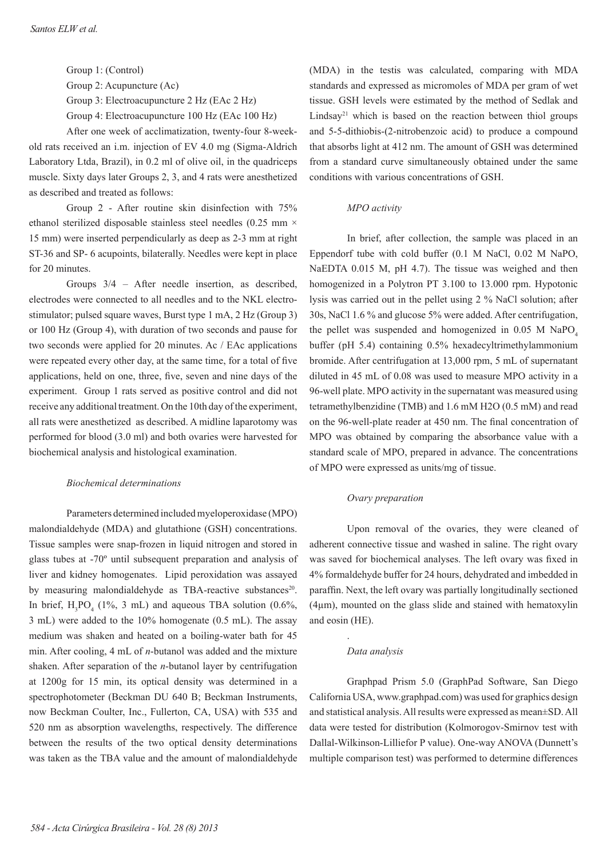Group 1: (Control) Group 2: Acupuncture (Ac) Group 3: Electroacupuncture 2 Hz (EAc 2 Hz) Group 4: Electroacupuncture 100 Hz (EAc 100 Hz)

After one week of acclimatization, twenty-four 8-weekold rats received an i.m. injection of EV 4.0 mg (Sigma-Aldrich Laboratory Ltda, Brazil), in 0.2 ml of olive oil, in the quadriceps muscle. Sixty days later Groups 2, 3, and 4 rats were anesthetized as described and treated as follows:

Group 2 - After routine skin disinfection with 75% ethanol sterilized disposable stainless steel needles  $(0.25 \text{ mm} \times$ 15 mm) were inserted perpendicularly as deep as 2-3 mm at right ST-36 and SP- 6 acupoints, bilaterally. Needles were kept in place for 20 minutes.

Groups 3/4 – After needle insertion, as described, electrodes were connected to all needles and to the NKL electrostimulator; pulsed square waves, Burst type 1 mA, 2 Hz (Group 3) or 100 Hz (Group 4), with duration of two seconds and pause for two seconds were applied for 20 minutes. Ac / EAc applications were repeated every other day, at the same time, for a total of five applications, held on one, three, five, seven and nine days of the experiment. Group 1 rats served as positive control and did not receive any additional treatment. On the 10th day of the experiment, all rats were anesthetized as described. A midline laparotomy was performed for blood (3.0 ml) and both ovaries were harvested for biochemical analysis and histological examination.

#### *Biochemical determinations*

Parameters determined included myeloperoxidase (MPO) malondialdehyde (MDA) and glutathione (GSH) concentrations. Tissue samples were snap-frozen in liquid nitrogen and stored in glass tubes at -70º until subsequent preparation and analysis of liver and kidney homogenates. Lipid peroxidation was assayed by measuring malondialdehyde as TBA-reactive substances<sup>20</sup>. In brief,  $H_3PO_4$  (1%, 3 mL) and aqueous TBA solution (0.6%, 3 mL) were added to the 10% homogenate (0.5 mL). The assay medium was shaken and heated on a boiling-water bath for 45 min. After cooling, 4 mL of *n*-butanol was added and the mixture shaken. After separation of the *n*-butanol layer by centrifugation at 1200g for 15 min, its optical density was determined in a spectrophotometer (Beckman DU 640 B; Beckman Instruments, now Beckman Coulter, Inc., Fullerton, CA, USA) with 535 and 520 nm as absorption wavelengths, respectively. The difference between the results of the two optical density determinations was taken as the TBA value and the amount of malondialdehyde

(MDA) in the testis was calculated, comparing with MDA standards and expressed as micromoles of MDA per gram of wet tissue. GSH levels were estimated by the method of Sedlak and Lindsay<sup>21</sup> which is based on the reaction between thiol groups and 5-5-dithiobis-(2-nitrobenzoic acid) to produce a compound that absorbs light at 412 nm. The amount of GSH was determined from a standard curve simultaneously obtained under the same conditions with various concentrations of GSH.

# *MPO activity*

In brief, after collection, the sample was placed in an Eppendorf tube with cold buffer (0.1 M NaCl, 0.02 M NaPO, NaEDTA 0.015 M, pH 4.7). The tissue was weighed and then homogenized in a Polytron PT 3.100 to 13.000 rpm. Hypotonic lysis was carried out in the pellet using 2 % NaCl solution; after 30s, NaCl 1.6 % and glucose 5% were added. After centrifugation, the pellet was suspended and homogenized in  $0.05$  M NaPO<sub>4</sub> buffer (pH 5.4) containing 0.5% hexadecyltrimethylammonium bromide. After centrifugation at 13,000 rpm, 5 mL of supernatant diluted in 45 mL of 0.08 was used to measure MPO activity in a 96-well plate. MPO activity in the supernatant was measured using tetramethylbenzidine (TMB) and 1.6 mM H2O (0.5 mM) and read on the 96-well-plate reader at 450 nm. The final concentration of MPO was obtained by comparing the absorbance value with a standard scale of MPO, prepared in advance. The concentrations of MPO were expressed as units/mg of tissue.

# *Ovary preparation*

Upon removal of the ovaries, they were cleaned of adherent connective tissue and washed in saline. The right ovary was saved for biochemical analyses. The left ovary was fixed in 4% formaldehyde buffer for 24 hours, dehydrated and imbedded in paraffin. Next, the left ovary was partially longitudinally sectioned (4µm), mounted on the glass slide and stained with hematoxylin and eosin (HE).

## *Data analysis*

.

Graphpad Prism 5.0 (GraphPad Software, San Diego California USA, www.graphpad.com) was used for graphics design and statistical analysis. All results were expressed as mean±SD. All data were tested for distribution (Kolmorogov-Smirnov test with Dallal-Wilkinson-Lilliefor P value). One-way ANOVA (Dunnett's multiple comparison test) was performed to determine differences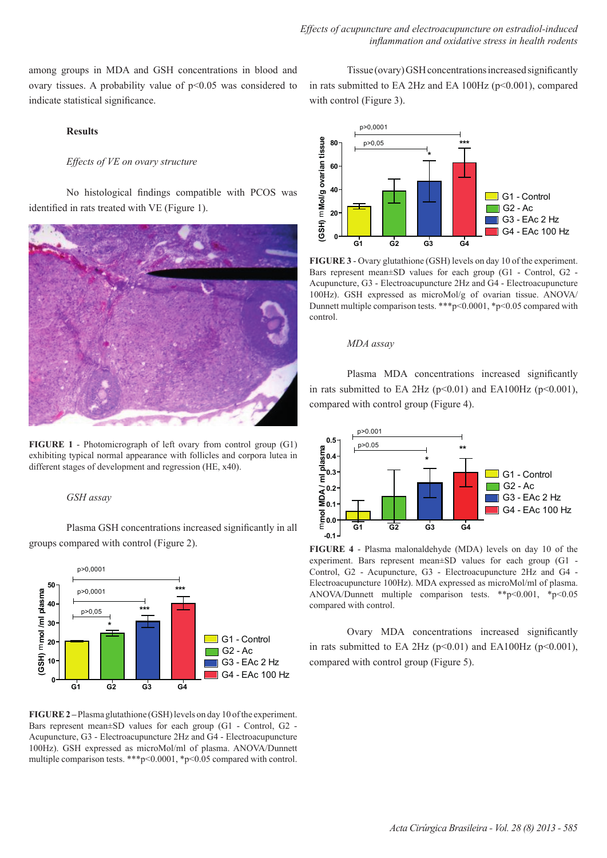among groups in MDA and GSH concentrations in blood and ovary tissues. A probability value of p<0.05 was considered to indicate statistical significance.

#### **Results**

## *Effects of VE on ovary structure*

No histological findings compatible with PCOS was identified in rats treated with VE (Figure 1).



**FIGURE 1** - Photomicrograph of left ovary from control group (G1) exhibiting typical normal appearance with follicles and corpora lutea in different stages of development and regression (HE, x40).

#### *GSH assay*

Plasma GSH concentrations increased significantly in all groups compared with control (Figure 2).



**FIGURE 2 –** Plasma glutathione (GSH) levels on day 10 of the experiment. Bars represent mean±SD values for each group (G1 - Control, G2 - Acupuncture, G3 - Electroacupuncture 2Hz and G4 - Electroacupuncture 100Hz). GSH expressed as microMol/ml of plasma. ANOVA/Dunnett multiple comparison tests. \*\*\*p<0.0001, \*p<0.05 compared with control.

Tissue (ovary) GSH concentrations increased significantly in rats submitted to EA  $2$ Hz and EA  $100$ Hz ( $p \le 0.001$ ), compared with control (Figure 3).



**FIGURE 3** - Ovary glutathione (GSH) levels on day 10 of the experiment. Bars represent mean±SD values for each group (G1 - Control, G2 - Acupuncture, G3 - Electroacupuncture 2Hz and G4 - Electroacupuncture 100Hz). GSH expressed as microMol/g of ovarian tissue. ANOVA/ Dunnett multiple comparison tests. \*\*\*p<0.0001, \*p<0.05 compared with control.

#### *MDA assay*

Plasma MDA concentrations increased significantly in rats submitted to EA 2Hz ( $p<0.01$ ) and EA100Hz ( $p<0.001$ ), compared with control group (Figure 4).



**FIGURE 4** - Plasma malonaldehyde (MDA) levels on day 10 of the experiment. Bars represent mean±SD values for each group (G1 - Control, G2 - Acupuncture, G3 - Electroacupuncture 2Hz and G4 - Electroacupuncture 100Hz). MDA expressed as microMol/ml of plasma. ANOVA/Dunnett multiple comparison tests. \*\*p<0.001, \*p<0.05 compared with control.

Ovary MDA concentrations increased significantly in rats submitted to EA 2Hz ( $p \le 0.01$ ) and EA100Hz ( $p \le 0.001$ ), compared with control group (Figure 5).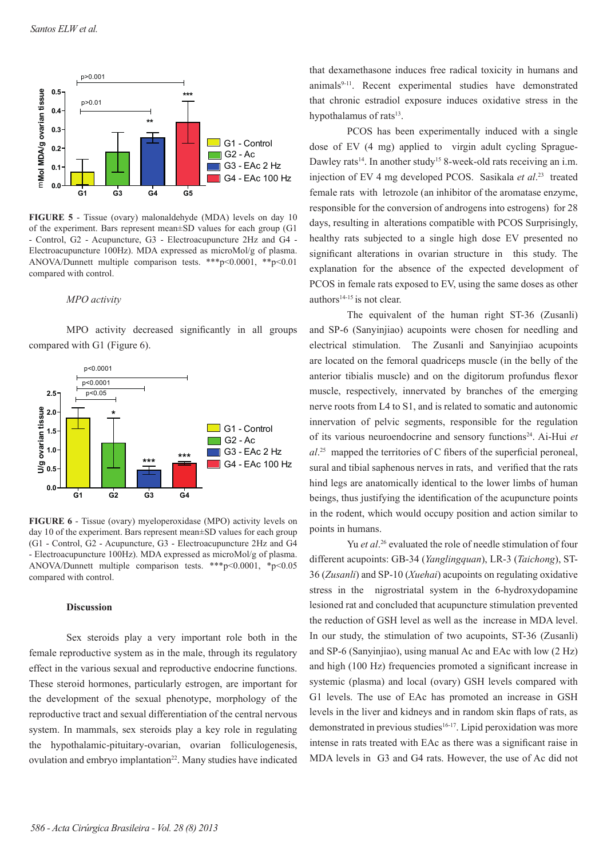

**FIGURE 5** - Tissue (ovary) malonaldehyde (MDA) levels on day 10 of the experiment. Bars represent mean±SD values for each group (G1 - Control, G2 - Acupuncture, G3 - Electroacupuncture 2Hz and G4 - Electroacupuncture 100Hz). MDA expressed as microMol/g of plasma. ANOVA/Dunnett multiple comparison tests. \*\*\*p<0.0001, \*\*p<0.01 compared with control.

#### *MPO activity*

MPO activity decreased significantly in all groups compared with G1 (Figure 6).



**FIGURE 6** - Tissue (ovary) myeloperoxidase (MPO) activity levels on day 10 of the experiment. Bars represent mean±SD values for each group (G1 - Control, G2 - Acupuncture, G3 - Electroacupuncture 2Hz and G4 - Electroacupuncture 100Hz). MDA expressed as microMol/g of plasma. ANOVA/Dunnett multiple comparison tests. \*\*\*p<0.0001, \*p<0.05 compared with control.

## **Discussion**

Sex steroids play a very important role both in the female reproductive system as in the male, through its regulatory effect in the various sexual and reproductive endocrine functions. These steroid hormones, particularly estrogen, are important for the development of the sexual phenotype, morphology of the reproductive tract and sexual differentiation of the central nervous system. In mammals, sex steroids play a key role in regulating the hypothalamic-pituitary-ovarian, ovarian folliculogenesis, ovulation and embryo implantation<sup>22</sup>. Many studies have indicated that dexamethasone induces free radical toxicity in humans and animals9-11. Recent experimental studies have demonstrated that chronic estradiol exposure induces oxidative stress in the hypothalamus of rats<sup>13</sup>.

PCOS has been experimentally induced with a single dose of EV (4 mg) applied to virgin adult cycling Sprague-Dawley rats<sup>14</sup>. In another study<sup>15</sup> 8-week-old rats receiving an i.m. injection of EV 4 mg developed PCOS. Sasikala *et al*. 23 treated female rats with letrozole (an inhibitor of the aromatase enzyme, responsible for the conversion of androgens into estrogens) for 28 days, resulting in alterations compatible with PCOS Surprisingly, healthy rats subjected to a single high dose EV presented no significant alterations in ovarian structure in this study. The explanation for the absence of the expected development of PCOS in female rats exposed to EV, using the same doses as other authors<sup>14-15</sup> is not clear.

The equivalent of the human right ST-36 (Zusanli) and SP-6 (Sanyinjiao) acupoints were chosen for needling and electrical stimulation. The Zusanli and Sanyinjiao acupoints are located on the femoral quadriceps muscle (in the belly of the anterior tibialis muscle) and on the digitorum profundus flexor muscle, respectively, innervated by branches of the emerging nerve roots from L4 to S1, and is related to somatic and autonomic innervation of pelvic segments, responsible for the regulation of its various neuroendocrine and sensory functions<sup>24</sup>. Ai-Hui et *al*. <sup>25</sup> mapped the territories of C fibers of the superficial peroneal, sural and tibial saphenous nerves in rats, and verified that the rats hind legs are anatomically identical to the lower limbs of human beings, thus justifying the identification of the acupuncture points in the rodent, which would occupy position and action similar to points in humans.

Yu *et al*. 26 evaluated the role of needle stimulation of four different acupoints: GB-34 (*Yanglingquan*), LR-3 (*Taichong*), ST-36 (*Zusanli*) and SP-10 (*Xuehai*) acupoints on regulating oxidative stress in the nigrostriatal system in the 6-hydroxydopamine lesioned rat and concluded that acupuncture stimulation prevented the reduction of GSH level as well as the increase in MDA level. In our study, the stimulation of two acupoints, ST-36 (Zusanli) and SP-6 (Sanyinjiao), using manual Ac and EAc with low (2 Hz) and high (100 Hz) frequencies promoted a significant increase in systemic (plasma) and local (ovary) GSH levels compared with G1 levels. The use of EAc has promoted an increase in GSH levels in the liver and kidneys and in random skin flaps of rats, as demonstrated in previous studies<sup>16-17</sup>. Lipid peroxidation was more intense in rats treated with EAc as there was a significant raise in MDA levels in G3 and G4 rats. However, the use of Ac did not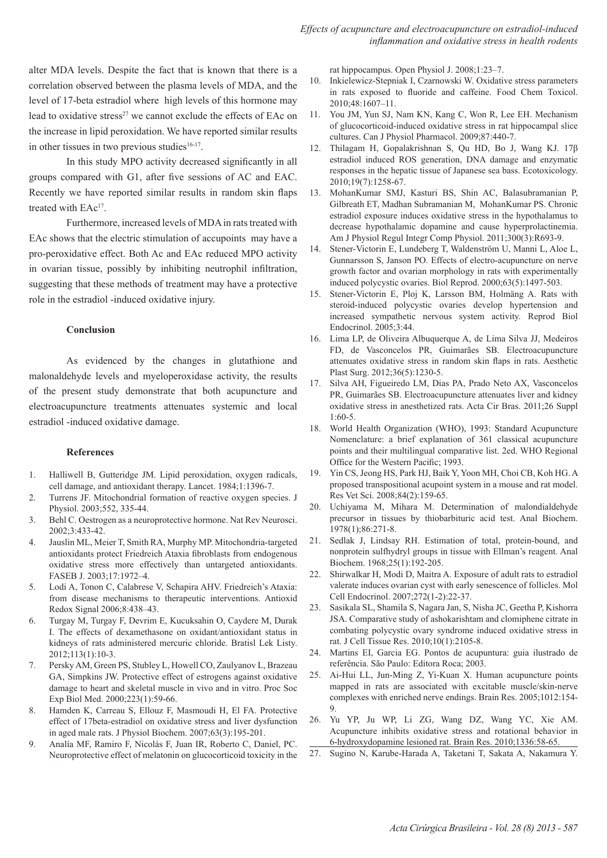alter MDA levels. Despite the fact that is known that there is a correlation observed between the plasma levels of MDA, and the level of 17-beta estradiol where high levels of this hormone may lead to oxidative stress<sup>27</sup> we cannot exclude the effects of EAc on the increase in lipid peroxidation. We have reported similar results in other tissues in two previous studies $16-17$ .

In this study MPO activity decreased significantly in all groups compared with G1, after five sessions of AC and EAC. Recently we have reported similar results in random skin flaps treated with EAc<sup>17</sup>.

Furthermore, increased levels of MDA in rats treated with EAc shows that the electric stimulation of accupoints may have a pro-peroxidative effect. Both Ac and EAc reduced MPO activity in ovarian tissue, possibly by inhibiting neutrophil infiltration, suggesting that these methods of treatment may have a protective role in the estradiol -induced oxidative injury.

### **Conclusion**

As evidenced by the changes in glutathione and malonaldehyde levels and myeloperoxidase activity, the results of the present study demonstrate that both acupuncture and electroacupuncture treatments attenuates systemic and local estradiol -induced oxidative damage.

### **References**

- 1. Halliwell B, Gutteridge JM. Lipid peroxidation, oxygen radicals, cell damage, and antioxidant therapy. Lancet. 1984;1:1396-7.
- 2. Turrens JF. Mitochondrial formation of reactive oxygen species. J Physiol. 2003;552, 335-44.
- 3. Behl C. Oestrogen as a neuroprotective hormone. Nat Rev Neurosci. 2002;3:433-42.
- 4. Jauslin ML, Meier T, Smith RA, Murphy MP. Mitochondria-targeted antioxidants protect Friedreich Ataxia fibroblasts from endogenous oxidative stress more effectively than untargeted antioxidants. FASEB J. 2003;17:1972–4.
- 5. Lodi A, Tonon C, Calabrese V, Schapira AHV. Friedreich's Ataxia: from disease mechanisms to therapeutic interventions. Antioxid Redox Signal 2006;8:438–43.
- 6. Turgay M, Turgay F, Devrim E, Kucuksahin O, Caydere M, Durak I. The effects of dexamethasone on oxidant/antioxidant status in kidneys of rats administered mercuric chloride. Bratisl Lek Listy. 2012;113(1):10-3.
- 7. Persky AM, Green PS, Stubley L, Howell CO, Zaulyanov L, Brazeau GA, Simpkins JW. Protective effect of estrogens against oxidative damage to heart and skeletal muscle in vivo and in vitro. Proc Soc Exp Biol Med. 2000;223(1):59-66.
- 8. Hamden K, Carreau S, Ellouz F, Masmoudi H, El FA. Protective effect of 17beta-estradiol on oxidative stress and liver dysfunction in aged male rats. J Physiol Biochem. 2007;63(3):195-201.
- 9. Analía MF, Ramiro F, Nicolás F, Juan IR, Roberto C, Daniel, PC. Neuroprotective effect of melatonin on glucocorticoid toxicity in the

rat hippocampus. Open Physiol J. 2008;1:23–7.

- 10. Inkielewicz-Stepniak I, Czarnowski W. Oxidative stress parameters in rats exposed to fluoride and caffeine. Food Chem Toxicol. 2010;48:1607–11.
- 11. You JM, Yun SJ, Nam KN, Kang C, Won R, Lee EH. Mechanism of glucocorticoid-induced oxidative stress in rat hippocampal slice cultures. Can J Physiol Pharmacol. 2009;87:440-7.
- 12. Thilagam H, Gopalakrishnan S, Qu HD, Bo J, Wang KJ. 17β estradiol induced ROS generation, DNA damage and enzymatic responses in the hepatic tissue of Japanese sea bass. Ecotoxicology. 2010;19(7):1258-67.
- 13. MohanKumar SMJ, Kasturi BS, Shin AC, Balasubramanian P, Gilbreath ET, Madhan Subramanian M, MohanKumar PS. Chronic estradiol exposure induces oxidative stress in the hypothalamus to decrease hypothalamic dopamine and cause hyperprolactinemia. Am J Physiol Regul Integr Comp Physiol. 2011;300(3):R693-9.
- 14. Stener-Victorin E, Lundeberg T, Waldenström U, Manni L, Aloe L, Gunnarsson S, Janson PO. Effects of electro-acupuncture on nerve growth factor and ovarian morphology in rats with experimentally induced polycystic ovaries. Biol Reprod. 2000;63(5):1497-503.
- 15. Stener-Victorin E, Ploj K, Larsson BM, Holmäng A. Rats with steroid-induced polycystic ovaries develop hypertension and increased sympathetic nervous system activity. Reprod Biol Endocrinol. 2005;3:44.
- 16. Lima LP, de Oliveira Albuquerque A, de Lima Silva JJ, Medeiros FD, de Vasconcelos PR, Guimarães SB. Electroacupuncture attenuates oxidative stress in random skin flaps in rats. Aesthetic Plast Surg. 2012;36(5):1230-5.
- 17. Silva AH, Figueiredo LM, Dias PA, Prado Neto AX, Vasconcelos PR, Guimarães SB. Electroacupuncture attenuates liver and kidney oxidative stress in anesthetized rats. Acta Cir Bras. 2011;26 Suppl 1:60-5.
- 18. World Health Organization (WHO), 1993: Standard Acupuncture Nomenclature: a brief explanation of 361 classical acupuncture points and their multilingual comparative list. 2ed. WHO Regional Office for the Western Pacific; 1993.
- 19. Yin CS, Jeong HS, Park HJ, Baik Y, Yoon MH, Choi CB, Koh HG. A proposed transpositional acupoint system in a mouse and rat model. Res Vet Sci. 2008;84(2):159-65.
- 20. Uchiyama M, Mihara M. Determination of malondialdehyde precursor in tissues by thiobarbituric acid test. Anal Biochem. 1978(1);86:271-8.
- 21. Sedlak J, Lindsay RH. Estimation of total, protein-bound, and nonprotein sulfhydryl groups in tissue with Ellman's reagent. Anal Biochem. 1968;25(1):192-205.
- 22. Shirwalkar H, Modi D, Maitra A. Exposure of adult rats to estradiol valerate induces ovarian cyst with early senescence of follicles. Mol Cell Endocrinol. 2007;272(1-2):22-37.
- 23. Sasikala SL, Shamila S, Nagara Jan, S, Nisha JC, Geetha P, Kishorra JSA. Comparative study of ashokarishtam and clomiphene citrate in combating polycystic ovary syndrome induced oxidative stress in rat. J Cell Tissue Res. 2010;10(1):2105-8.
- 24. Martins EI, Garcia EG. Pontos de acupuntura: guia ilustrado de referência. São Paulo: Editora Roca; 2003.
- 25. Ai-Hui LL, Jun-Ming Z, Yi-Kuan X. Human acupuncture points mapped in rats are associated with excitable muscle/skin-nerve complexes with enriched nerve endings. Brain Res. 2005;1012:154- 9.
- 26. Yu YP, Ju WP, Li ZG, Wang DZ, Wang YC, Xie AM. Acupuncture inhibits oxidative stress and rotational behavior in 6-hydroxydopamine lesioned rat. Brain Res. 2010;1336:58-65.
- 27. Sugino N, Karube-Harada A, Taketani T, Sakata A, Nakamura Y.